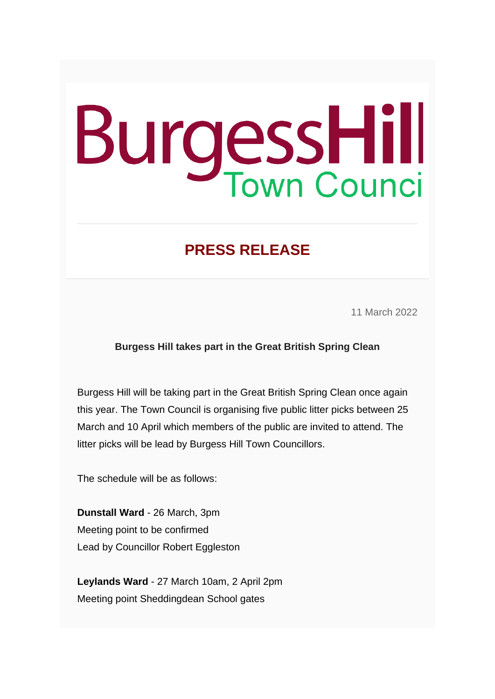## **BurgessHill**

## **PRESS RELEASE**

11 March 2022

## **Burgess Hill takes part in the Great British Spring Clean**

Burgess Hill will be taking part in the Great British Spring Clean once again this year. The Town Council is organising five public litter picks between 25 March and 10 April which members of the public are invited to attend. The litter picks will be lead by Burgess Hill Town Councillors.

The schedule will be as follows:

**Dunstall Ward** - 26 March, 3pm Meeting point to be confirmed Lead by Councillor Robert Eggleston

**Leylands Ward** - 27 March 10am, 2 April 2pm Meeting point Sheddingdean School gates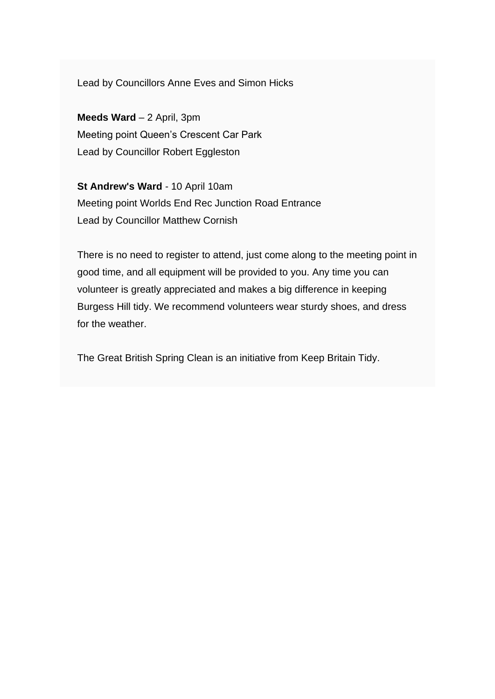Lead by Councillors Anne Eves and Simon Hicks

**Meeds Ward** – 2 April, 3pm Meeting point Queen's Crescent Car Park Lead by Councillor Robert Eggleston

**St Andrew's Ward** - 10 April 10am Meeting point Worlds End Rec Junction Road Entrance Lead by Councillor Matthew Cornish

There is no need to register to attend, just come along to the meeting point in good time, and all equipment will be provided to you. Any time you can volunteer is greatly appreciated and makes a big difference in keeping Burgess Hill tidy. We recommend volunteers wear sturdy shoes, and dress for the weather.

The Great British Spring Clean is an initiative from Keep Britain Tidy.